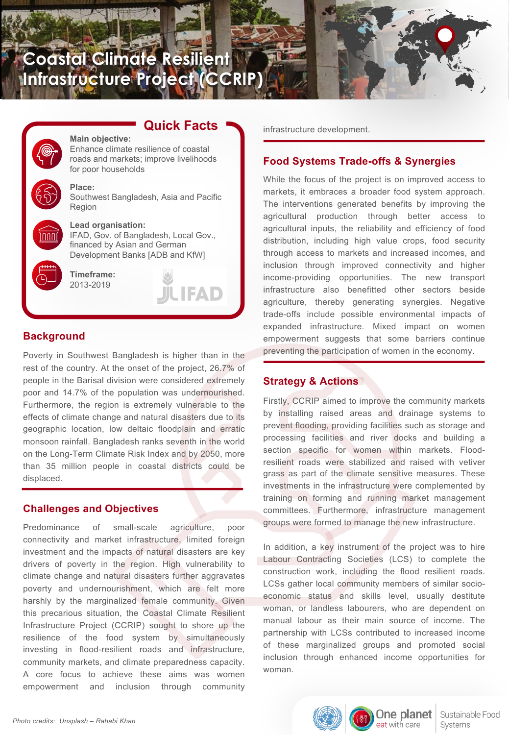# **Coastal Climate Resilient Infrastructure Project (CCRIP)**

## **Quick Facts**

**JUFAD** 





#### **Place:**

Southwest Bangladesh, Asia and Pacific Region



**Lead organisation:**

IFAD, Gov. of Bangladesh, Local Gov., financed by Asian and German Development Banks [ADB and KfW]

**Timeframe:** 2013-2019

## **Background**

Poverty in Southwest Bangladesh is higher than in the rest of the country. At the onset of the project, 26.7% of people in the Barisal division were considered extremely poor and 14.7% of the population was undernourished. Furthermore, the region is extremely vulnerable to the effects of climate change and natural disasters due to its geographic location, low deltaic floodplain and erratic monsoon rainfall. Bangladesh ranks seventh in the world on the Long-Term Climate Risk Index and by 2050, more than 35 million people in coastal districts could be displaced.

### **Challenges and Objectives**

Predominance of small-scale agriculture, poor connectivity and market infrastructure, limited foreign investment and the impacts of natural disasters are key drivers of poverty in the region. High vulnerability to climate change and natural disasters further aggravates poverty and undernourishment, which are felt more harshly by the marginalized female community. Given this precarious situation, the Coastal Climate Resilient Infrastructure Project (CCRIP) sought to shore up the resilience of the food system by simultaneously investing in flood-resilient roads and infrastructure, community markets, and climate preparedness capacity. A core focus to achieve these aims was women empowerment and inclusion through community

infrastructure development.

#### **Food Systems Trade-offs & Synergies**

While the focus of the project is on improved access to markets, it embraces a broader food system approach. The interventions generated benefits by improving the agricultural production through better access to agricultural inputs, the reliability and efficiency of food distribution, including high value crops, food security through access to markets and increased incomes, and inclusion through improved connectivity and higher income-providing opportunities. The new transport infrastructure also benefitted other sectors beside agriculture, thereby generating synergies. Negative trade-offs include possible environmental impacts of expanded infrastructure. Mixed impact on women empowerment suggests that some barriers continue preventing the participation of women in the economy.

#### **Strategy & Actions**

Firstly, CCRIP aimed to improve the community markets by installing raised areas and drainage systems to prevent flooding, providing facilities such as storage and processing facilities and river docks and building a section specific for women within markets. Floodresilient roads were stabilized and raised with vetiver grass as part of the climate sensitive measures. These investments in the infrastructure were complemented by training on forming and running market management committees. Furthermore, infrastructure management groups were formed to manage the new infrastructure.

In addition, a key instrument of the project was to hire Labour Contracting Societies (LCS) to complete the construction work, including the flood resilient roads. LCSs gather local community members of similar socioeconomic status and skills level, usually destitute woman, or landless labourers, who are dependent on manual labour as their main source of income. The partnership with LCSs contributed to increased income of these marginalized groups and promoted social inclusion through enhanced income opportunities for woman.

eat with care